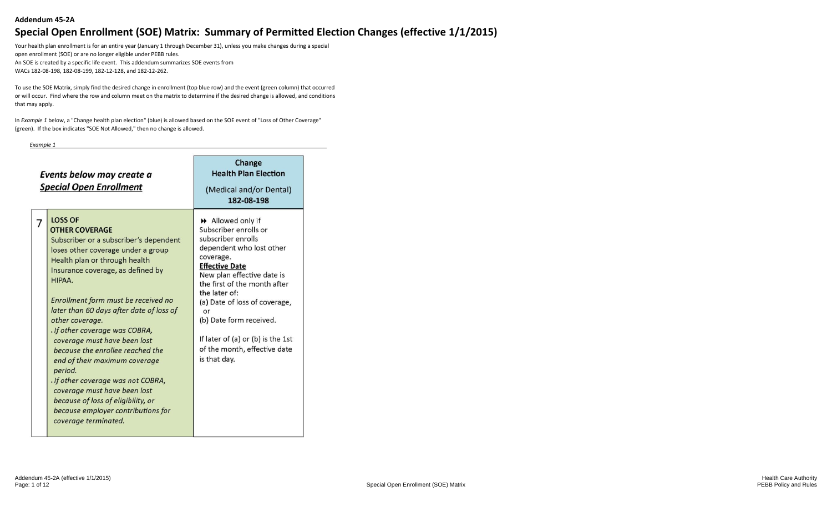Your health plan enrollment is for an entire year (January 1 through December 31), unless you make changes during a special open enrollment (SOE) or are no longer eligible under PEBB rules. An SOE is created by a specific life event. This addendum summarizes SOE events from WACs 182-08-198, 182-08-199, 182-12-128, and 182-12-262.

To use the SOE Matrix, simply find the desired change in enrollment (top blue row) and the event (green column) that occurred or will occur. Find where the row and column meet on the matrix to determine if the desired change is allowed, and conditions that may apply.

In *Example 1* below, a "Change health plan election" (blue) is allowed based on the SOE event of "Loss of Other Coverage" (green). If the box indicates "SOE Not Allowed," then no change is allowed.

#### *Example 1*

| Events below may create a<br><b>Special Open Enrollment</b>                                                                                                                                                                                                                                                                                                                                                                                                                                                                                                                                                                                    | Change<br><b>Health Plan Election</b><br>(Medical and/or Dental)<br>182-08-198                                                                                                                                                                                                                                                                                            |
|------------------------------------------------------------------------------------------------------------------------------------------------------------------------------------------------------------------------------------------------------------------------------------------------------------------------------------------------------------------------------------------------------------------------------------------------------------------------------------------------------------------------------------------------------------------------------------------------------------------------------------------------|---------------------------------------------------------------------------------------------------------------------------------------------------------------------------------------------------------------------------------------------------------------------------------------------------------------------------------------------------------------------------|
| <b>LOSS OF</b><br>7<br><b>OTHER COVERAGE</b><br>Subscriber or a subscriber's dependent<br>loses other coverage under a group<br>Health plan or through health<br>Insurance coverage, as defined by<br>HIPAA.<br>Enrollment form must be received no<br>later than 60 days after date of loss of<br>other coverage.<br>. If other coverage was COBRA,<br>coverage must have been lost<br>because the enrollee reached the<br>end of their maximum coverage<br>period.<br>. If other coverage was not COBRA,<br>coverage must have been lost<br>because of loss of eligibility, or<br>because employer contributions for<br>coverage terminated. | >> Allowed only if<br>Subscriber enrolls or<br>subscriber enrolls<br>dependent who lost other<br>coverage.<br><b>Effective Date</b><br>New plan effective date is<br>the first of the month after<br>the later of:<br>(a) Date of loss of coverage,<br>or<br>(b) Date form received.<br>If later of (a) or (b) is the 1st<br>of the month, effective date<br>is that day. |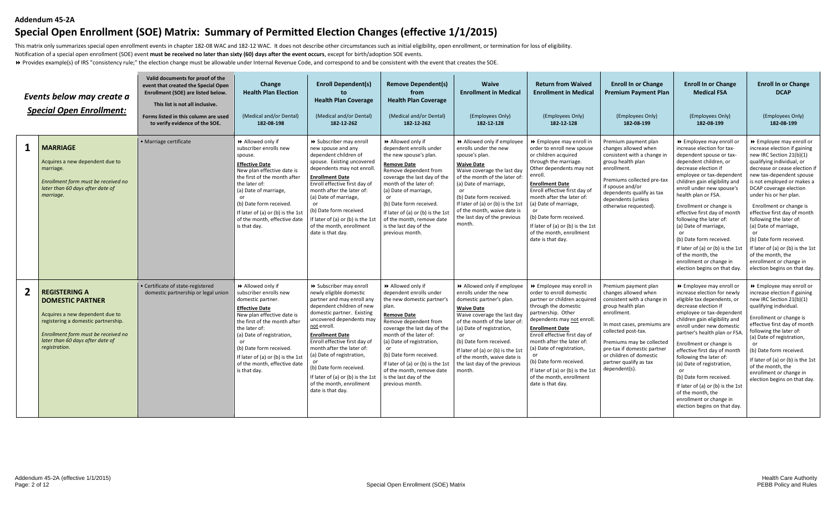This matrix only summarizes special open enrollment events in chapter 182-08 WAC and 182-12 WAC. It does not describe other circumstances such as initial eligibility, open enrollment, or termination for loss of eligibility Notification of a special open enrollment (SOE) event **must be received no later than sixty (60) days after the event occurs**, except for birth/adoption SOE events.

Provides example(s) of IRS "consistency rule;" the election change must be allowable under Internal Revenue Code, and correspond to and be consistent with the event that creates the SOE.

|                | Events below may create a<br><b>Special Open Enrollment:</b>                                                                                                                                                          | Valid documents for proof of the<br>event that created the Special Open<br>Enrollment (SOE) are listed below.<br>This list is not all inclusive.<br>Forms listed in this column are used<br>to verify evidence of the SOE. | Change<br><b>Health Plan Election</b><br>(Medical and/or Dental)<br>182-08-198                                                                                                                                                                                                                                         | <b>Enroll Dependent(s)</b><br><b>Health Plan Coverage</b><br>(Medical and/or Dental)<br>182-12-262                                                                                                                                                                                                                                                                                                                          | <b>Remove Dependent(s)</b><br>from<br><b>Health Plan Coverage</b><br>(Medical and/or Dental)<br>182-12-262                                                                                                                                                                                                                                                              | <b>Waive</b><br><b>Enrollment in Medical</b><br>(Employees Only)<br>182-12-128                                                                                                                                                                                                                                                             | <b>Return from Waived</b><br><b>Enrollment in Medical</b><br>(Employees Only)<br>182-12-128                                                                                                                                                                                                                                                                                                                   | <b>Enroll In or Change</b><br><b>Premium Payment Plan</b><br>(Employees Only)<br>182-08-199                                                                                                                                                                                                             | <b>Enroll In or Change</b><br><b>Medical FSA</b><br>(Employees Only)<br>182-08-199                                                                                                                                                                                                                                                                                                                                                                                                                                     | <b>Enroll In or Change</b><br><b>DCAP</b><br>(Employees Only)<br>182-08-199                                                                                                                                                                                                                                                                                                                                                                                                                                                     |
|----------------|-----------------------------------------------------------------------------------------------------------------------------------------------------------------------------------------------------------------------|----------------------------------------------------------------------------------------------------------------------------------------------------------------------------------------------------------------------------|------------------------------------------------------------------------------------------------------------------------------------------------------------------------------------------------------------------------------------------------------------------------------------------------------------------------|-----------------------------------------------------------------------------------------------------------------------------------------------------------------------------------------------------------------------------------------------------------------------------------------------------------------------------------------------------------------------------------------------------------------------------|-------------------------------------------------------------------------------------------------------------------------------------------------------------------------------------------------------------------------------------------------------------------------------------------------------------------------------------------------------------------------|--------------------------------------------------------------------------------------------------------------------------------------------------------------------------------------------------------------------------------------------------------------------------------------------------------------------------------------------|---------------------------------------------------------------------------------------------------------------------------------------------------------------------------------------------------------------------------------------------------------------------------------------------------------------------------------------------------------------------------------------------------------------|---------------------------------------------------------------------------------------------------------------------------------------------------------------------------------------------------------------------------------------------------------------------------------------------------------|------------------------------------------------------------------------------------------------------------------------------------------------------------------------------------------------------------------------------------------------------------------------------------------------------------------------------------------------------------------------------------------------------------------------------------------------------------------------------------------------------------------------|---------------------------------------------------------------------------------------------------------------------------------------------------------------------------------------------------------------------------------------------------------------------------------------------------------------------------------------------------------------------------------------------------------------------------------------------------------------------------------------------------------------------------------|
| $\mathbf{1}$   | <b>MARRIAGE</b><br>Acquires a new dependent due to<br>marriage.<br>Enrollment form must be received no<br>later than 60 days after date of<br>marriage.                                                               | · Marriage certificate                                                                                                                                                                                                     | >> Allowed only if<br>subscriber enrolls new<br>spouse.<br><b>Effective Date</b><br>New plan effective date is<br>the first of the month after<br>the later of:<br>(a) Date of marriage,<br>(b) Date form received.<br>If later of (a) or (b) is the 1st<br>of the month, effective date<br>is that day.               | > Subscriber may enroll<br>new spouse and any<br>dependent children of<br>spouse. Existing uncovered<br>dependents may not enroll<br><b>Enrollment Date</b><br>Enroll effective first day of<br>month after the later of:<br>(a) Date of marriage,<br>(b) Date form received.<br>If later of (a) or (b) is the 1s<br>of the month, enrollment<br>date is that day.                                                          | Allowed only if<br>dependent enrolls under<br>the new spouse's plan.<br><b>Remove Date</b><br>Remove dependent from<br>coverage the last day of the<br>month of the later of:<br>(a) Date of marriage,<br><sub>or</sub><br>(b) Date form received.<br>If later of (a) or (b) is the 1st<br>of the month, remove date<br>is the last day of the<br>previous month.       | >> Allowed only if employee<br>enrolls under the new<br>spouse's plan.<br><b>Waive Date</b><br>Waive coverage the last day<br>of the month of the later of:<br>(a) Date of marriage,<br>(b) Date form received.<br>If later of (a) or (b) is the 1st<br>of the month, waive date is<br>the last day of the previous<br>month.              | >> Employee may enroll in<br>order to enroll new spouse<br>or children acquired<br>through the marriage.<br>Other dependents may not<br>enroll.<br><b>Enrollment Date</b><br>Enroll effective first day of<br>month after the later of:<br>(a) Date of marriage,<br>or<br>(b) Date form received.<br>If later of (a) or (b) is the 1st<br>of the month, enrollment<br>date is that day.                       | Premium payment plan<br>changes allowed when<br>consistent with a change in<br>group health plan<br>enrollment.<br>Premiums collected pre-tax<br>if spouse and/or<br>dependents qualify as tax<br>dependents (unless<br>otherwise requested).                                                           | >> Employee may enroll of<br>increase election for tax-<br>dependent spouse or tax-<br>dependent children, or<br>decrease election if<br>employee or tax-dependent<br>children gain eligibility and<br>enroll under new spouse's<br>health plan or FSA.<br>Enrollment or change is<br>effective first day of month<br>following the later of:<br>(a) Date of marriage,<br>(b) Date form received.<br>If later of (a) or (b) is the 1st<br>of the month, the<br>enrollment or change in<br>election begins on that day. | ▶ Employee may enroll or<br>increase election if gaining<br>new IRC Section 21(b)(1)<br>qualifying individual, or<br>decrease or cease election it<br>new tax-dependent spouse<br>is not employed or makes a<br>DCAP coverage election<br>under his or her plan.<br>Enrollment or change is<br>effective first day of month<br>following the later of:<br>(a) Date of marriage,<br>(b) Date form received.<br>If later of (a) or (b) is the 1st<br>of the month, the<br>enrollment or change in<br>election begins on that day. |
| $\overline{2}$ | <b>REGISTERING A</b><br><b>DOMESTIC PARTNER</b><br>Acquires a new dependent due to<br>registering a domestic partnership.<br>Enrollment form must be received no<br>later than 60 days after date of<br>registration. | · Certificate of state-registered<br>domestic partnership or legal union                                                                                                                                                   | >> Allowed only if<br>subscriber enrolls new<br>domestic partner.<br><b>Effective Date</b><br>New plan effective date is<br>the first of the month after<br>the later of:<br>(a) Date of registration,<br>(b) Date form received.<br>If later of (a) or (b) is the 1st<br>of the month, effective date<br>is that day. | > Subscriber may enroll<br>newly eligible domestic<br>partner and may enroll any<br>dependent children of new<br>domestic partner. Existing<br>uncovered dependents may<br>not enroll.<br><b>Enrollment Date</b><br>Enroll effective first day of<br>month after the later of:<br>(a) Date of registration,<br>(b) Date form received.<br>If later of (a) or (b) is the 1s<br>of the month, enrollment<br>date is that day. | Allowed only if<br>dependent enrolls under<br>the new domestic partner's<br>plan.<br><b>Remove Date</b><br>Remove dependent from<br>coverage the last day of the<br>month of the later of:<br>(a) Date of registration,<br>or<br>(b) Date form received.<br>If later of (a) or (b) is the 1st<br>of the month, remove date<br>is the last day of the<br>previous month. | >> Allowed only if employee<br>enrolls under the new<br>domestic partner's plan.<br><b>Waive Date</b><br>Waive coverage the last day<br>of the month of the later of<br>(a) Date of registration,<br>(b) Date form received.<br>If later of (a) or (b) is the 1st<br>of the month, waive date is<br>the last day of the previous<br>month. | >> Employee may enroll in<br>order to enroll domestic<br>partner or children acquired<br>through the domestic<br>partnership. Other<br>dependents may not enroll.<br><b>Enrollment Date</b><br>Enroll effective first day of<br>month after the later of:<br>(a) Date of registration,<br>or<br>(b) Date form received.<br>If later of (a) or (b) is the 1st<br>of the month, enrollment<br>date is that day. | Premium payment plan<br>changes allowed when<br>consistent with a change in<br>group health plan<br>enrollment.<br>In most cases, premiums are<br>collected post-tax.<br>Premiums may be collected<br>pre-tax if domestic partner<br>or children of domestic<br>partner qualify as tax<br>dependent(s). | >> Employee may enroll or<br>increase election for newly<br>eligible tax dependents, or<br>decrease election if<br>employee or tax-dependent<br>children gain eligibility and<br>enroll under new domestic<br>partner's health plan or FSA<br>Enrollment or change is<br>effective first day of month<br>following the later of:<br>(a) Date of registration,<br>(b) Date form received.<br>If later of (a) or (b) is the 1st<br>of the month, the<br>enrollment or change in<br>election begins on that day.          | >> Employee may enroll or<br>increase election if gaining<br>new IRC Section 21(b)(1)<br>qualifying individual.<br>Enrollment or change is<br>effective first day of month<br>following the later of:<br>(a) Date of registration,<br>or<br>(b) Date form received.<br>If later of (a) or (b) is the 1st<br>of the month, the<br>enrollment or change in<br>election begins on that day.                                                                                                                                        |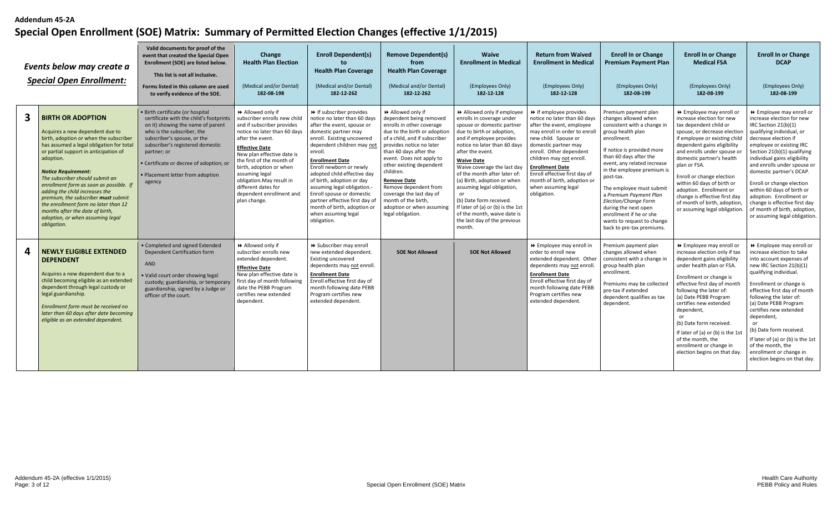|   | Events below may create a<br><b>Special Open Enrollment:</b>                                                                                                                                                                                                                                                                                                                                                                                                                                                               | Valid documents for proof of the<br>event that created the Special Open<br>Enrollment (SOE) are listed below.<br>This list is not all inclusive.<br>Forms listed in this column are used<br>to verify evidence of the SOE.                                                                                                | Change<br><b>Health Plan Election</b><br>(Medical and/or Dental)<br>182-08-198                                                                                                                                                                                                                                                                                     | <b>Enroll Dependent(s)</b><br>to<br><b>Health Plan Coverage</b><br>(Medical and/or Dental)<br>182-12-262                                                                                                                                                                                                                                                                                                                                                                 | <b>Remove Dependent(s)</b><br>from<br><b>Health Plan Coverage</b><br>(Medical and/or Dental)<br>182-12-262                                                                                                                                                                                                                                                                                                              | <b>Waive</b><br><b>Enrollment in Medical</b><br>(Employees Only)<br>182-12-128                                                                                                                                                                                                                                                                                                                                                                                                                | <b>Return from Waived</b><br><b>Enrollment in Medical</b><br>(Employees Only)<br>182-12-128                                                                                                                                                                                                                                                               | <b>Enroll In or Change</b><br><b>Premium Payment Plan</b><br>(Employees Only)<br>182-08-199                                                                                                                                                                                                                                                                                                                                                   | <b>Enroll In or Change</b><br><b>Medical FSA</b><br>(Employees Only)<br>182-08-199                                                                                                                                                                                                                                                                                                                                                                   | <b>Enroll In or Change</b><br><b>DCAP</b><br>(Employees Only)<br>182-08-199                                                                                                                                                                                                                                                                                                                                                                                                      |
|---|----------------------------------------------------------------------------------------------------------------------------------------------------------------------------------------------------------------------------------------------------------------------------------------------------------------------------------------------------------------------------------------------------------------------------------------------------------------------------------------------------------------------------|---------------------------------------------------------------------------------------------------------------------------------------------------------------------------------------------------------------------------------------------------------------------------------------------------------------------------|--------------------------------------------------------------------------------------------------------------------------------------------------------------------------------------------------------------------------------------------------------------------------------------------------------------------------------------------------------------------|--------------------------------------------------------------------------------------------------------------------------------------------------------------------------------------------------------------------------------------------------------------------------------------------------------------------------------------------------------------------------------------------------------------------------------------------------------------------------|-------------------------------------------------------------------------------------------------------------------------------------------------------------------------------------------------------------------------------------------------------------------------------------------------------------------------------------------------------------------------------------------------------------------------|-----------------------------------------------------------------------------------------------------------------------------------------------------------------------------------------------------------------------------------------------------------------------------------------------------------------------------------------------------------------------------------------------------------------------------------------------------------------------------------------------|-----------------------------------------------------------------------------------------------------------------------------------------------------------------------------------------------------------------------------------------------------------------------------------------------------------------------------------------------------------|-----------------------------------------------------------------------------------------------------------------------------------------------------------------------------------------------------------------------------------------------------------------------------------------------------------------------------------------------------------------------------------------------------------------------------------------------|------------------------------------------------------------------------------------------------------------------------------------------------------------------------------------------------------------------------------------------------------------------------------------------------------------------------------------------------------------------------------------------------------------------------------------------------------|----------------------------------------------------------------------------------------------------------------------------------------------------------------------------------------------------------------------------------------------------------------------------------------------------------------------------------------------------------------------------------------------------------------------------------------------------------------------------------|
|   | <b>BIRTH OR ADOPTION</b><br>Acquires a new dependent due to<br>birth, adoption or when the subscriber<br>has assumed a legal obligation for total<br>or partial support in anticipation of<br>adoption.<br><b>Notice Requirement:</b><br>The subscriber should submit an<br>enrollment form as soon as possible. If<br>adding the child increases the<br>premium, the subscriber must submit<br>the enrollment form no later than 12<br>months after the date of birth,<br>adoption, or when assuming legal<br>obligation. | • Birth certificate (or hospital<br>certificate with the child's footprints<br>on it) showing the name of parent<br>who is the subscriber, the<br>subscriber's spouse, or the<br>subscriber's registered domestic<br>partner; or<br>· Certificate or decree of adoption; or<br>· Placement letter from adoption<br>agency | Allowed only if<br>subscriber enrolls new child<br>and if subscriber provides<br>notice no later than 60 days<br>after the event.<br><b>Effective Date</b><br>New plan effective date is<br>the first of the month of<br>birth, adoption or when<br>assuming legal<br>obligation. May result in<br>different dates for<br>dependent enrollment and<br>plan change. | → If subscriber provides<br>notice no later than 60 days<br>after the event, spouse or<br>domestic partner may<br>enroll. Existing uncovered<br>dependent children may not<br>enroll.<br><b>Enrollment Date</b><br>Enroll newborn or newly<br>adopted child effective day<br>of birth, adoption or day<br>assuming legal obligation.<br>Enroll spouse or domestic<br>partner effective first day of<br>month of birth, adoption or<br>when assuming legal<br>obligation. | Allowed only if<br>dependent being removed<br>enrolls in other coverage<br>due to the birth or adoption<br>of a child, and if subscriber<br>provides notice no later<br>than 60 days after the<br>event. Does not apply to<br>other existing dependent<br>children.<br><b>Remove Date</b><br>Remove dependent from<br>coverage the last day of<br>month of the birth,<br>adoption or when assuming<br>legal obligation. | >> Allowed only if employee<br>enrolls in coverage under<br>spouse or domestic partner<br>due to birth or adoption,<br>and if employee provides<br>notice no later than 60 days<br>after the event.<br><b>Waive Date</b><br>Waive coverage the last day<br>of the month after later of:<br>(a) Birth, adoption or when<br>assuming legal obligation,<br>(b) Date form received.<br>If later of (a) or (b) is the 1st<br>of the month, waive date is<br>the last day of the previous<br>month. | If employee provides<br>notice no later than 60 days<br>after the event, employee<br>may enroll in order to enroll<br>new child. Spouse or<br>domestic partner may<br>enroll. Other dependent<br>children may not enroll.<br><b>Enrollment Date</b><br>Enroll effective first day of<br>month of birth, adoption or<br>when assuming legal<br>obligation. | Premium payment plan<br>changes allowed when<br>consistent with a change in<br>group health plan<br>enrollment.<br>If notice is provided more<br>than 60 days after the<br>event, any related increase<br>in the employee premium is<br>post-tax.<br>The employee must submit<br>a Premium Payment Plan<br>Election/Change Form<br>during the next open<br>enrollment if he or she<br>wants to request to change<br>back to pre-tax premiums. | >> Employee may enroll or<br>increase election for new<br>tax dependent child or<br>spouse, or decrease election<br>if employee or existing child<br>dependent gains eligibility<br>and enrolls under spouse or<br>domestic partner's health<br>plan or FSA.<br>Enroll or change election<br>within 60 days of birth or<br>adoption. Enrollment or<br>change is effective first day<br>of month of birth, adoption,<br>or assuming legal obligation. | ▶ Employee may enroll or<br>increase election for new<br>IRC Section 21(b)(1)<br>qualifying individual, or<br>decrease election if<br>employee or existing IRC<br>Section 21(b)(1) qualifying<br>individual gains eligibility<br>and enrolls under spouse or<br>domestic partner's DCAP.<br>Enroll or change election<br>within 60 days of birth or<br>adoption. Enrollment or<br>change is effective first day<br>of month of birth, adoption,<br>or assuming legal obligation. |
| 4 | <b>NEWLY ELIGIBLE EXTENDED</b><br><b>DEPENDENT</b><br>Acquires a new dependent due to a<br>child becoming eligible as an extended<br>dependent through legal custody or<br>legal guardianship.<br>Enrollment form must be received no<br>later than 60 days after date becoming<br>eligible as an extended dependent.                                                                                                                                                                                                      | • Completed and signed Extended<br>Dependent Certification form<br><b>AND</b><br>. Valid court order showing legal<br>custody; guardianship, or temporary<br>guardianship, signed by a Judge or<br>officer of the court.                                                                                                  | Allowed only if<br>subscriber enrolls new<br>extended dependent.<br><b>Effective Date</b><br>New plan effective date is<br>first day of month following<br>date the PEBB Program<br>certifies new extended<br>dependent.                                                                                                                                           | > Subscriber may enroll<br>new extended dependent.<br>Existing uncovered<br>dependents may not enroll.<br><b>Enrollment Date</b><br>Enroll effective first day of<br>month following date PEBB<br>Program certifies new<br>extended dependent                                                                                                                                                                                                                            | <b>SOE Not Allowed</b>                                                                                                                                                                                                                                                                                                                                                                                                  | <b>SOE Not Allowed</b>                                                                                                                                                                                                                                                                                                                                                                                                                                                                        | ▶ Employee may enroll in<br>order to enroll new<br>extended dependent. Other<br>dependents may not enroll.<br><b>Enrollment Date</b><br>Enroll effective first day of<br>month following date PEBB<br>Program certifies new<br>extended dependent.                                                                                                        | Premium payment plan<br>changes allowed when<br>consistent with a change in<br>group health plan<br>enrollment.<br>Premiums may be collected<br>pre-tax if extended<br>dependent qualifies as tax<br>dependent.                                                                                                                                                                                                                               | ▶ Employee may enroll or<br>increase election only if tax<br>dependent gains eligibility<br>under health plan or FSA<br>Enrollment or change is<br>effective first day of month<br>following the later of:<br>(a) Date PEBB Program<br>certifies new extended<br>dependent,<br>(b) Date form received.<br>If later of (a) or (b) is the 1st<br>of the month, the<br>enrollment or change in<br>election begins on that day.                          | ▶ Employee may enroll or<br>increase election to take<br>into account expenses of<br>new IRC Section 21(b)(1)<br>qualifying individual.<br>Enrollment or change is<br>effective first day of month<br>following the later of:<br>(a) Date PEBB Program<br>certifies new extended<br>dependent,<br>or<br>(b) Date form received.<br>If later of (a) or (b) is the 1st<br>of the month, the<br>enrollment or change in<br>election begins on that day.                             |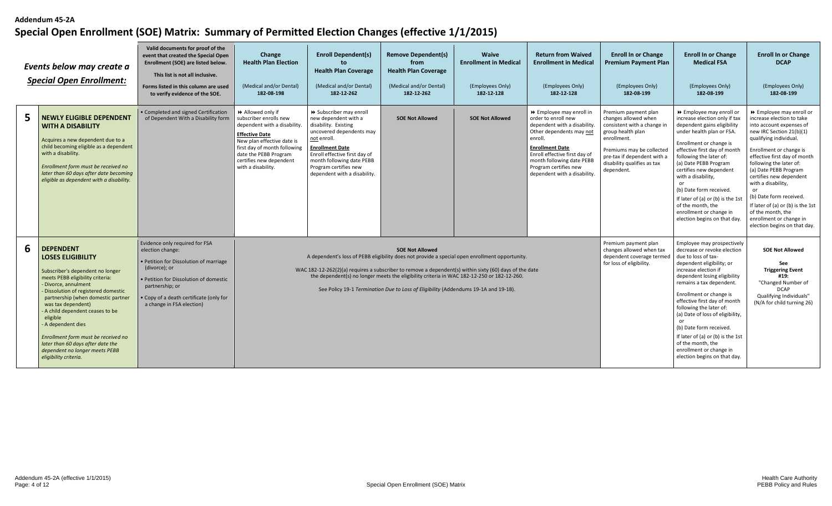| Events below may create a<br><b>Special Open Enrollment:</b>                                                                                                                                                                                                                                                                                                                                                                                          | Valid documents for proof of the<br>event that created the Special Open<br>Enrollment (SOE) are listed below.<br>This list is not all inclusive.<br>Forms listed in this column are used<br>to verify evidence of the SOE.                       | Change<br><b>Health Plan Election</b><br>(Medical and/or Dental)<br>182-08-198                                                                                                                                                             | <b>Enroll Dependent(s)</b><br>to<br><b>Health Plan Coverage</b><br>(Medical and/or Dental)<br>182-12-262                                                                                                                                                            | <b>Remove Dependent(s)</b><br>from<br><b>Health Plan Coverage</b><br>(Medical and/or Dental)<br>182-12-262                                                                                                  | <b>Waive</b><br><b>Enrollment in Medical</b><br>(Employees Only)<br>182-12-128 | <b>Return from Waived</b><br><b>Enrollment in Medical</b><br>(Employees Only)<br>182-12-128                                                                                                                                                                             | <b>Enroll In or Change</b><br><b>Premium Payment Plan</b><br>(Employees Only)<br>182-08-199                                                                                                                              | <b>Enroll In or Change</b><br><b>Medical FSA</b><br>(Employees Only)<br>182-08-199                                                                                                                                                                                                                                                                                                                                                                                                | <b>Enroll In or Change</b><br><b>DCAP</b><br>(Employees Only)<br>182-08-199                                                                                                                                                                                                                                                                                                                                                                                              |
|-------------------------------------------------------------------------------------------------------------------------------------------------------------------------------------------------------------------------------------------------------------------------------------------------------------------------------------------------------------------------------------------------------------------------------------------------------|--------------------------------------------------------------------------------------------------------------------------------------------------------------------------------------------------------------------------------------------------|--------------------------------------------------------------------------------------------------------------------------------------------------------------------------------------------------------------------------------------------|---------------------------------------------------------------------------------------------------------------------------------------------------------------------------------------------------------------------------------------------------------------------|-------------------------------------------------------------------------------------------------------------------------------------------------------------------------------------------------------------|--------------------------------------------------------------------------------|-------------------------------------------------------------------------------------------------------------------------------------------------------------------------------------------------------------------------------------------------------------------------|--------------------------------------------------------------------------------------------------------------------------------------------------------------------------------------------------------------------------|-----------------------------------------------------------------------------------------------------------------------------------------------------------------------------------------------------------------------------------------------------------------------------------------------------------------------------------------------------------------------------------------------------------------------------------------------------------------------------------|--------------------------------------------------------------------------------------------------------------------------------------------------------------------------------------------------------------------------------------------------------------------------------------------------------------------------------------------------------------------------------------------------------------------------------------------------------------------------|
| <b>NEWLY ELIGIBLE DEPENDENT</b><br><b>WITH A DISABILITY</b><br>Acquires a new dependent due to a<br>child becoming eligible as a dependent<br>with a disability.<br>Enrollment form must be received no<br>later than 60 days after date becoming<br>eligible as dependent with a disability.                                                                                                                                                         | • Completed and signed Certification<br>of Dependent With a Disability form                                                                                                                                                                      | Allowed only if<br>subscriber enrolls new<br>dependent with a disability.<br><b>Effective Date</b><br>New plan effective date is<br>first day of month following<br>date the PEBB Program<br>certifies new dependent<br>with a disability. | > Subscriber may enroll<br>new dependent with a<br>disability. Existing<br>uncovered dependents may<br>not enroll.<br><b>Enrollment Date</b><br>Enroll effective first day of<br>month following date PEBB<br>Program certifies new<br>dependent with a disability. | <b>SOE Not Allowed</b>                                                                                                                                                                                      | <b>SOE Not Allowed</b>                                                         | ▶ Employee may enroll in<br>order to enroll new<br>dependent with a disability.<br>Other dependents may not<br>enroll.<br><b>Enrollment Date</b><br>Enroll effective first day of<br>month following date PEBB<br>Program certifies new<br>dependent with a disability. | Premium payment plan<br>changes allowed when<br>consistent with a change in<br>group health plan<br>enrollment.<br>Premiums may be collected<br>pre-tax if dependent with a<br>disability qualifies as tax<br>dependent. | ▶ Employee may enroll or<br>increase election only if tax<br>dependent gains eligibility<br>under health plan or FSA.<br>Enrollment or change is<br>effective first day of month<br>following the later of:<br>(a) Date PEBB Program<br>certifies new dependent<br>with a disability,<br>or<br>(b) Date form received.<br>If later of (a) or (b) is the 1st<br>of the month, the<br>enrollment or change in<br>election begins on that day.                                       | ▶ Employee may enroll or<br>increase election to take<br>into account expenses of<br>new IRC Section 21(b)(1)<br>qualifying individual.<br>Enrollment or change is<br>effective first day of month<br>following the later of:<br>(a) Date PEBB Program<br>certifies new dependent<br>with a disability,<br><sub>or</sub><br>(b) Date form received.<br>If later of (a) or (b) is the 1st<br>of the month, the<br>enrollment or change in<br>election begins on that day. |
| <b>DEPENDENT</b><br><b>LOSES ELIGIBILITY</b><br>Subscriber's dependent no longer<br>meets PEBB eligibility criteria:<br>Divorce, annulment<br>Dissolution of registered domestic<br>partnership (when domestic partner<br>was tax dependent)<br>A child dependent ceases to be<br>eligible<br>A dependent dies<br>Enrollment form must be received no<br>later than 60 days after date the<br>dependent no longer meets PEBB<br>eligibility criteria. | Evidence only required for FSA<br>election change:<br>• Petition for Dissolution of marriage<br>(divorce); or<br>· Petition for Dissolution of domestic<br>partnership; or<br>Copy of a death certificate (only for<br>a change in FSA election) |                                                                                                                                                                                                                                            | A dependent's loss of PEBB eligibility does not provide a special open enrollment opportunity.<br>WAC 182-12-262(2)(a) requires a subscriber to remove a dependent(s) within sixty (60) days of the date                                                            | <b>SOE Not Allowed</b><br>the dependent(s) no longer meets the eligibility criteria in WAC 182-12-250 or 182-12-260.<br>See Policy 19-1 Termination Due to Loss of Eligibility (Addendums 19-1A and 19-1B). |                                                                                |                                                                                                                                                                                                                                                                         | Premium payment plan<br>changes allowed when tax<br>dependent coverage termed<br>for loss of eligibility.                                                                                                                | Employee may prospectively<br>decrease or revoke election<br>due to loss of tax-<br>dependent eligibility; or<br>increase election if<br>dependent losing eligibility<br>remains a tax dependent.<br>Enrollment or change is<br>effective first day of month<br>following the later of:<br>(a) Date of loss of eligibility,<br>or<br>(b) Date form received.<br>If later of (a) or (b) is the 1st<br>of the month, the<br>enrollment or change in<br>election begins on that day. | <b>SOE Not Allowed</b><br>See<br><b>Triggering Event</b><br>#19:<br>"Changed Number of<br><b>DCAP</b><br>Qualifying Individuals"<br>(N/A for child turning 26)                                                                                                                                                                                                                                                                                                           |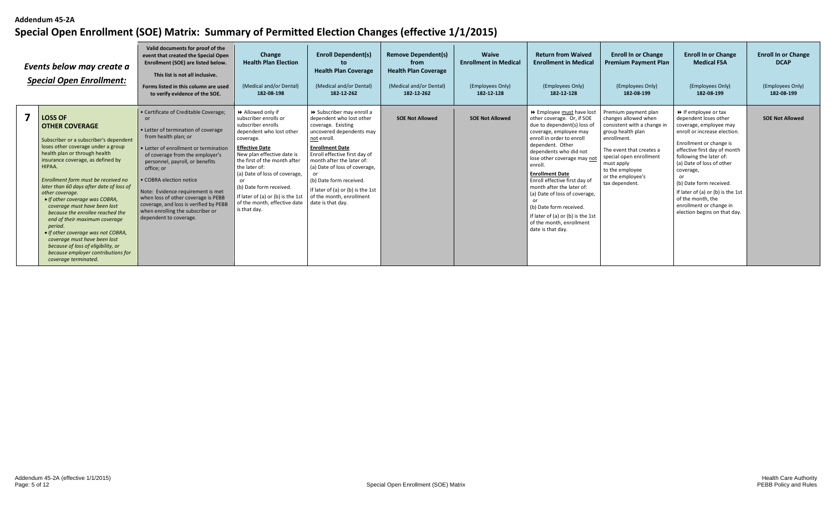| Events below may create a<br><b>Special Open Enrollment:</b> |                                                                                                                                                                                                                                                                                                                                                                                                                                                                                                                                                                                                                                           | Valid documents for proof of the<br>event that created the Special Open<br>Enrollment (SOE) are listed below.<br>This list is not all inclusive.<br>Forms listed in this column are used<br>to verify evidence of the SOE.                                                                                                                                                                                                                             | Change<br><b>Health Plan Election</b><br>(Medical and/or Dental)<br>182-08-198                                                                                                                                                                                                                                                                                         | <b>Enroll Dependent(s)</b><br>to.<br><b>Health Plan Coverage</b><br>(Medical and/or Dental)<br>182-12-262                                                                                                                                                                                                                                                         | <b>Remove Dependent(s)</b><br>from<br><b>Health Plan Coverage</b><br>(Medical and/or Dental)<br>182-12-262 | Waive<br><b>Enrollment in Medical</b><br>(Employees Only)<br>182-12-128 | <b>Return from Waived</b><br><b>Enrollment in Medical</b><br>(Employees Only)<br>182-12-128                                                                                                                                                                                                                                                                                                                                                                                      | <b>Enroll In or Change</b><br><b>Premium Payment Plan</b><br>(Employees Only)<br>182-08-199                                                                                                                                                    | <b>Enroll In or Change</b><br><b>Medical FSA</b><br>(Employees Only)<br>182-08-199                                                                                                                                                                                                                                                                                                      | <b>Enroll In or Change</b><br><b>DCAP</b><br>(Employees Only)<br>182-08-199 |
|--------------------------------------------------------------|-------------------------------------------------------------------------------------------------------------------------------------------------------------------------------------------------------------------------------------------------------------------------------------------------------------------------------------------------------------------------------------------------------------------------------------------------------------------------------------------------------------------------------------------------------------------------------------------------------------------------------------------|--------------------------------------------------------------------------------------------------------------------------------------------------------------------------------------------------------------------------------------------------------------------------------------------------------------------------------------------------------------------------------------------------------------------------------------------------------|------------------------------------------------------------------------------------------------------------------------------------------------------------------------------------------------------------------------------------------------------------------------------------------------------------------------------------------------------------------------|-------------------------------------------------------------------------------------------------------------------------------------------------------------------------------------------------------------------------------------------------------------------------------------------------------------------------------------------------------------------|------------------------------------------------------------------------------------------------------------|-------------------------------------------------------------------------|----------------------------------------------------------------------------------------------------------------------------------------------------------------------------------------------------------------------------------------------------------------------------------------------------------------------------------------------------------------------------------------------------------------------------------------------------------------------------------|------------------------------------------------------------------------------------------------------------------------------------------------------------------------------------------------------------------------------------------------|-----------------------------------------------------------------------------------------------------------------------------------------------------------------------------------------------------------------------------------------------------------------------------------------------------------------------------------------------------------------------------------------|-----------------------------------------------------------------------------|
|                                                              | <b>LOSS OF</b><br><b>OTHER COVERAGE</b><br>Subscriber or a subscriber's dependent<br>loses other coverage under a group<br>health plan or through health<br>insurance coverage, as defined by<br>HIPAA.<br>Enrollment form must be received no<br>later than 60 days after date of loss of<br>other coverage.<br>• If other coverage was COBRA,<br>coverage must have been lost<br>because the enrollee reached the<br>end of their maximum coverage<br>period.<br>• If other coverage was not COBRA,<br>coverage must have been lost<br>because of loss of eligibility, or<br>because employer contributions for<br>coverage terminated. | • Certificate of Creditable Coverage;<br>or<br>• Letter of termination of coverage<br>from health plan; or<br>• Letter of enrollment or termination<br>of coverage from the employer's<br>personnel, payroll, or benefits<br>office; or<br>• COBRA election notice<br>Note: Evidence requirement is met<br>when loss of other coverage is PEBB<br>coverage, and loss is verified by PEBB<br>when enrolling the subscriber or<br>dependent to coverage. | Allowed only if<br>subscriber enrolls or<br>subscriber enrolls<br>dependent who lost other<br>coverage.<br><b>Effective Date</b><br>New plan effective date is<br>the first of the month after<br>the later of:<br>(a) Date of loss of coverage,<br>or<br>(b) Date form received.<br>If later of (a) or (b) is the 1st<br>of the month, effective date<br>is that day. | >> Subscriber may enroll a<br>dependent who lost other<br>coverage. Existing<br>uncovered dependents may<br>not enroll.<br><b>Enrollment Date</b><br>Enroll effective first day of<br>month after the later of:<br>(a) Date of loss of coverage,<br>(b) Date form received.<br>If later of (a) or (b) is the 1st<br>of the month, enrollment<br>date is that day. | <b>SOE Not Allowed</b>                                                                                     | <b>SOE Not Allowed</b>                                                  | >> Employee must have lost<br>other coverage. Or, if SOE<br>due to dependent(s) loss of<br>coverage, employee may<br>enroll in order to enroll<br>dependent. Other<br>dependents who did not<br>lose other coverage may not<br>enroll.<br><b>Enrollment Date</b><br>Enroll effective first day of<br>month after the later of:<br>(a) Date of loss of coverage,<br>(b) Date form received.<br>If later of (a) or (b) is the 1st<br>of the month, enrollment<br>date is that day. | Premium payment plan<br>changes allowed when<br>consistent with a change in<br>group health plan<br>enrollment.<br>The event that creates a<br>special open enrollment<br>must apply<br>to the employee<br>or the employee's<br>tax dependent. | ▶ If employee or tax<br>dependent loses other<br>coverage, employee may<br>enroll or increase election.<br>Enrollment or change is<br>effective first day of month<br>following the later of:<br>(a) Date of loss of other<br>coverage,<br>(b) Date form received.<br>If later of (a) or (b) is the 1st<br>of the month, the<br>enrollment or change in<br>election begins on that day. | <b>SOE Not Allowed</b>                                                      |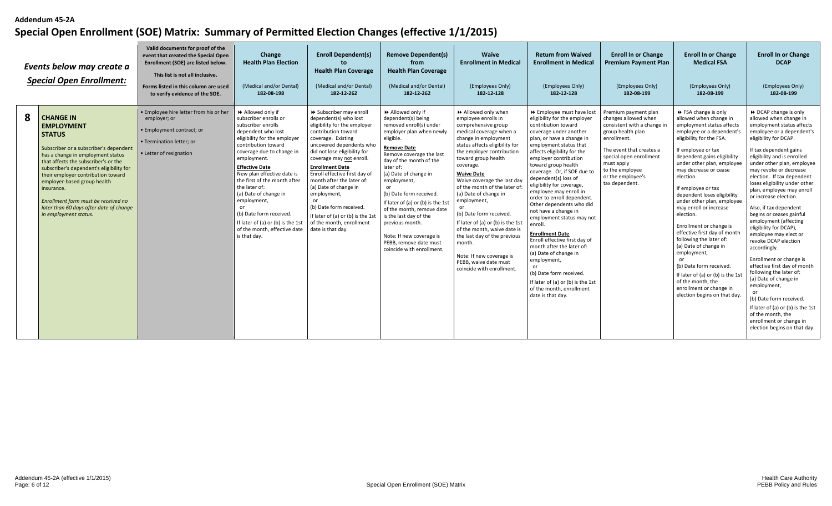|   | Events below may create a<br><b>Special Open Enrollment:</b>                                                                                                                                                                                                                                                                                                                                                            | Valid documents for proof of the<br>event that created the Special Open<br>Enrollment (SOE) are listed below.<br>This list is not all inclusive.<br>Forms listed in this column are used<br>to verify evidence of the SOE. | Change<br><b>Health Plan Election</b><br>(Medical and/or Dental)<br>182-08-198                                                                                                                                                                                                                                                                                                                                                                          | <b>Enroll Dependent(s)</b><br><b>Health Plan Coverage</b><br>(Medical and/or Dental)<br>182-12-262                                                                                                                                                                                                                                                                                                                                                                           | <b>Remove Dependent(s)</b><br>from<br><b>Health Plan Coverage</b><br>(Medical and/or Dental)<br>182-12-262                                                                                                                                                                                                                                                                                                                                                               | Waive<br><b>Enrollment in Medical</b><br>(Employees Only)<br>182-12-128                                                                                                                                                                                                                                                                                                                                                                                                                                                                                                        | <b>Return from Waived</b><br><b>Enrollment in Medical</b><br>(Employees Only)<br>182-12-128                                                                                                                                                                                                                                                                                                                                                                                                                                                                                                                                                                                                                                                | <b>Enroll In or Change</b><br><b>Premium Payment Plan</b><br>(Employees Only)<br>182-08-199                                                                                                                                                    | <b>Enroll In or Change</b><br><b>Medical FSA</b><br>(Employees Only)<br>182-08-199                                                                                                                                                                                                                                                                                                                                                                                                                                                                                                                                                                                   | <b>Enroll In or Change</b><br><b>DCAP</b><br>(Employees Only)<br>182-08-199                                                                                                                                                                                                                                                                                                                                                                                                                                                                                                                                                                                                                                                                                                                                                      |
|---|-------------------------------------------------------------------------------------------------------------------------------------------------------------------------------------------------------------------------------------------------------------------------------------------------------------------------------------------------------------------------------------------------------------------------|----------------------------------------------------------------------------------------------------------------------------------------------------------------------------------------------------------------------------|---------------------------------------------------------------------------------------------------------------------------------------------------------------------------------------------------------------------------------------------------------------------------------------------------------------------------------------------------------------------------------------------------------------------------------------------------------|------------------------------------------------------------------------------------------------------------------------------------------------------------------------------------------------------------------------------------------------------------------------------------------------------------------------------------------------------------------------------------------------------------------------------------------------------------------------------|--------------------------------------------------------------------------------------------------------------------------------------------------------------------------------------------------------------------------------------------------------------------------------------------------------------------------------------------------------------------------------------------------------------------------------------------------------------------------|--------------------------------------------------------------------------------------------------------------------------------------------------------------------------------------------------------------------------------------------------------------------------------------------------------------------------------------------------------------------------------------------------------------------------------------------------------------------------------------------------------------------------------------------------------------------------------|--------------------------------------------------------------------------------------------------------------------------------------------------------------------------------------------------------------------------------------------------------------------------------------------------------------------------------------------------------------------------------------------------------------------------------------------------------------------------------------------------------------------------------------------------------------------------------------------------------------------------------------------------------------------------------------------------------------------------------------------|------------------------------------------------------------------------------------------------------------------------------------------------------------------------------------------------------------------------------------------------|----------------------------------------------------------------------------------------------------------------------------------------------------------------------------------------------------------------------------------------------------------------------------------------------------------------------------------------------------------------------------------------------------------------------------------------------------------------------------------------------------------------------------------------------------------------------------------------------------------------------------------------------------------------------|----------------------------------------------------------------------------------------------------------------------------------------------------------------------------------------------------------------------------------------------------------------------------------------------------------------------------------------------------------------------------------------------------------------------------------------------------------------------------------------------------------------------------------------------------------------------------------------------------------------------------------------------------------------------------------------------------------------------------------------------------------------------------------------------------------------------------------|
| 8 | <b>CHANGE IN</b><br><b>EMPLOYMENT</b><br><b>STATUS</b><br>Subscriber or a subscriber's dependent<br>has a change in employment status<br>that affects the subscriber's or the<br>subscriber's dependent's eligibility for<br>their employer contribution toward<br>employer-based group health<br>insurance.<br>Enrollment form must be received no<br>later than 60 days after date of change<br>in employment status. | . Employee hire letter from his or her<br>employer; or<br>· Employment contract; or<br>• Termination letter: or<br>• Letter of resignation                                                                                 | Allowed only if<br>subscriber enrolls or<br>subscriber enrolls<br>dependent who lost<br>eligibility for the employer<br>contribution toward<br>coverage due to change in<br>employment.<br><b>Effective Date</b><br>New plan effective date is<br>the first of the month after<br>the later of:<br>(a) Date of change in<br>employment,<br>(b) Date form received.<br>If later of (a) or (b) is the 1st<br>of the month, effective date<br>is that day. | > Subscriber may enroll<br>dependent(s) who lost<br>eligibility for the employer<br>contribution toward<br>coverage. Existing<br>uncovered dependents who<br>did not lose eligibility for<br>coverage may not enroll.<br><b>Enrollment Date</b><br>Enroll effective first day of<br>month after the later of:<br>(a) Date of change in<br>employment,<br>or<br>(b) Date form received.<br>If later of (a) or (b) is the 1st<br>of the month, enrollment<br>date is that day. | Allowed only if<br>dependent(s) being<br>removed enroll(s) under<br>employer plan when newly<br>eligible.<br><b>Remove Date</b><br>Remove coverage the last<br>day of the month of the<br>later of:<br>(a) Date of change in<br>employment,<br>(b) Date form received.<br>If later of (a) or (b) is the 1st<br>of the month, remove date<br>is the last day of the<br>previous month.<br>Note: If new coverage is<br>PEBB, remove date must<br>coincide with enrollment. | >> Allowed only when<br>employee enrolls in<br>comprehensive group<br>medical coverage when a<br>change in employment<br>status affects eligibility for<br>the employer contribution<br>toward group health<br>coverage.<br><b>Waive Date</b><br>Waive coverage the last day<br>of the month of the later of<br>(a) Date of change in<br>employment,<br>(b) Date form received.<br>If later of (a) or (b) is the 1st<br>of the month, waive date is<br>the last day of the previous<br>month.<br>Note: If new coverage is<br>PEBB, waive date must<br>coincide with enrollment | >> Employee must have lost<br>eligibility for the employer<br>contribution toward<br>coverage under another<br>plan, or have a change in<br>employment status that<br>affects eligibility for the<br>employer contribution<br>toward group health<br>coverage. Or, if SOE due to<br>dependent(s) loss of<br>eligibility for coverage,<br>employee may enroll in<br>order to enroll dependent.<br>Other dependents who did<br>not have a change in<br>employment status may not<br>enroll.<br><b>Enrollment Date</b><br>Enroll effective first day of<br>month after the later of:<br>(a) Date of change in<br>employment,<br>(b) Date form received.<br>If later of (a) or (b) is the 1st<br>of the month, enrollment<br>date is that day. | Premium payment plan<br>changes allowed when<br>consistent with a change in<br>group health plan<br>enrollment.<br>The event that creates a<br>special open enrollment<br>must apply<br>to the employee<br>or the employee's<br>tax dependent. | ▶ FSA change is only<br>allowed when change in<br>employment status affects<br>employee or a dependent's<br>eligibility for the FSA.<br>If employee or tax<br>dependent gains eligibility<br>under other plan, employee<br>may decrease or cease<br>election.<br>If employee or tax<br>dependent loses eligibility<br>under other plan, employee<br>may enroll or increase<br>election.<br>Enrollment or change is<br>effective first day of month<br>following the later of:<br>(a) Date of change in<br>employment,<br>(b) Date form received.<br>If later of (a) or (b) is the 1s<br>of the month, the<br>enrollment or change in<br>election begins on that day. | ▶ DCAP change is only<br>allowed when change in<br>employment status affects<br>employee or a dependent's<br>eligibility for DCAP.<br>If tax dependent gains<br>eligibility and is enrolled<br>under other plan, employee<br>may revoke or decrease<br>election. If tax dependent<br>loses eligibility under other<br>plan, employee may enroll<br>or increase election.<br>Also, if tax dependent<br>begins or ceases gainful<br>employment (affecting<br>eligibility for DCAP),<br>employee may elect or<br>revoke DCAP election<br>accordingly.<br>Enrollment or change is<br>effective first day of month<br>following the later of:<br>(a) Date of change in<br>employment,<br>(b) Date form received.<br>If later of (a) or (b) is the 1st<br>of the month, the<br>enrollment or change in<br>election begins on that day. |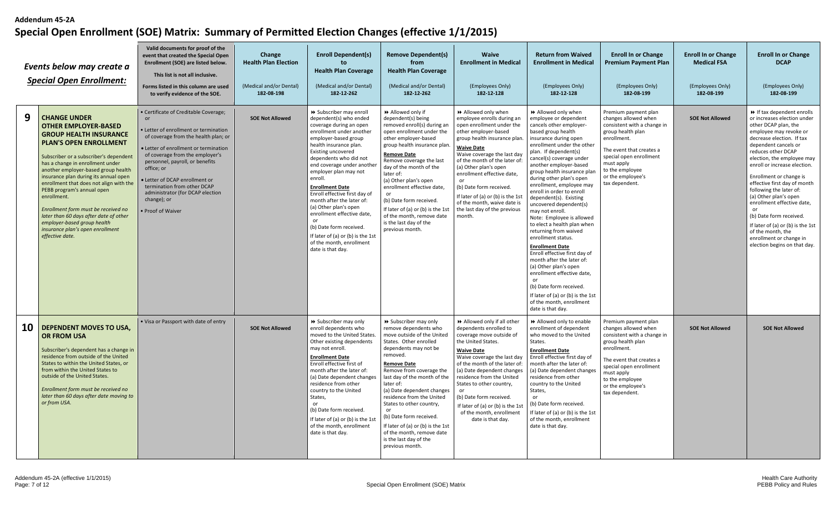|    | Events below may create a<br><b>Special Open Enrollment:</b>                                                                                                                                                                                                                                                                                                                                                                                                                                                                                      | Valid documents for proof of the<br>event that created the Special Open<br>Enrollment (SOE) are listed below.<br>This list is not all inclusive.<br>Forms listed in this column are used<br>to verify evidence of the SOE.                                                                                                                                                           | Change<br><b>Health Plan Election</b><br>(Medical and/or Dental)<br>182-08-198 | <b>Enroll Dependent(s)</b><br>to<br><b>Health Plan Coverage</b><br>(Medical and/or Dental)<br>182-12-262                                                                                                                                                                                                                                                                                                                                                                                                                                                      | <b>Remove Dependent(s)</b><br>from<br><b>Health Plan Coverage</b><br>(Medical and/or Dental)<br>182-12-262                                                                                                                                                                                                                                                                                                                                                                 | <b>Waive</b><br><b>Enrollment in Medical</b><br>(Employees Only)<br>182-12-128                                                                                                                                                                                                                                                                                                                                               | <b>Return from Waived</b><br><b>Enrollment in Medical</b><br>(Employees Only)<br>182-12-128                                                                                                                                                                                                                                                                                                                                                                                                                                                                                                                                                                                                                                                                                                                | <b>Enroll In or Change</b><br><b>Premium Payment Plan</b><br>(Employees Only)<br>182-08-199                                                                                                                                                    | <b>Enroll In or Change</b><br><b>Medical FSA</b><br>(Employees Only)<br>182-08-199 | <b>Enroll In or Change</b><br><b>DCAP</b><br>(Employees Only)<br>182-08-199                                                                                                                                                                                                                                                                                                                                                                                                                                                                           |
|----|---------------------------------------------------------------------------------------------------------------------------------------------------------------------------------------------------------------------------------------------------------------------------------------------------------------------------------------------------------------------------------------------------------------------------------------------------------------------------------------------------------------------------------------------------|--------------------------------------------------------------------------------------------------------------------------------------------------------------------------------------------------------------------------------------------------------------------------------------------------------------------------------------------------------------------------------------|--------------------------------------------------------------------------------|---------------------------------------------------------------------------------------------------------------------------------------------------------------------------------------------------------------------------------------------------------------------------------------------------------------------------------------------------------------------------------------------------------------------------------------------------------------------------------------------------------------------------------------------------------------|----------------------------------------------------------------------------------------------------------------------------------------------------------------------------------------------------------------------------------------------------------------------------------------------------------------------------------------------------------------------------------------------------------------------------------------------------------------------------|------------------------------------------------------------------------------------------------------------------------------------------------------------------------------------------------------------------------------------------------------------------------------------------------------------------------------------------------------------------------------------------------------------------------------|------------------------------------------------------------------------------------------------------------------------------------------------------------------------------------------------------------------------------------------------------------------------------------------------------------------------------------------------------------------------------------------------------------------------------------------------------------------------------------------------------------------------------------------------------------------------------------------------------------------------------------------------------------------------------------------------------------------------------------------------------------------------------------------------------------|------------------------------------------------------------------------------------------------------------------------------------------------------------------------------------------------------------------------------------------------|------------------------------------------------------------------------------------|-------------------------------------------------------------------------------------------------------------------------------------------------------------------------------------------------------------------------------------------------------------------------------------------------------------------------------------------------------------------------------------------------------------------------------------------------------------------------------------------------------------------------------------------------------|
| 9  | <b>CHANGE UNDER</b><br><b>OTHER EMPLOYER-BASED</b><br><b>GROUP HEALTH INSURANCE</b><br><b>PLAN'S OPEN ENROLLMENT</b><br>Subscriber or a subscriber's dependent<br>has a change in enrollment under<br>another employer-based group health<br>insurance plan during its annual open<br>enrollment that does not align with the<br>PEBB program's annual open<br>enrollment.<br>Enrollment form must be received no<br>later than 60 days after date of other<br>employer-based group health<br>insurance plan's open enrollment<br>effective date. | Certificate of Creditable Coverage;<br>Letter of enrollment or termination<br>of coverage from the health plan; or<br>· Letter of enrollment or termination<br>of coverage from the employer's<br>personnel, payroll, or benefits<br>office; or<br>Letter of DCAP enrollment or<br>termination from other DCAP<br>administrator (for DCAP election<br>change); or<br>Proof of Waiver | <b>SOE Not Allowed</b>                                                         | > Subscriber may enroll<br>dependent(s) who ended<br>coverage during an open<br>enrollment under another<br>employer-based group<br>health insurance plan.<br>Existing uncovered<br>dependents who did not<br>end coverage under another<br>employer plan may not<br>enroll.<br><b>Enrollment Date</b><br>Enroll effective first day of<br>month after the later of:<br>(a) Other plan's open<br>enrollment effective date,<br><sub>or</sub><br>(b) Date form received.<br>If later of (a) or (b) is the 1st<br>of the month, enrollment<br>date is that day. | >> Allowed only if<br>dependent(s) being<br>removed enroll(s) during an<br>open enrollment under the<br>other employer-based<br>group health insurance plan<br>Remove Date<br>Remove coverage the last<br>day of the month of the<br>later of:<br>(a) Other plan's open<br>enrollment effective date,<br>or<br>(b) Date form received.<br>If later of (a) or (b) is the 1st<br>of the month, remove date<br>is the last day of the<br>previous month.                      | >> Allowed only when<br>employee enrolls during an<br>open enrollment under the<br>other employer-based<br>group health insurance plan.<br><b>Waive Date</b><br>Waive coverage the last day<br>of the month of the later of:<br>(a) Other plan's open<br>enrollment effective date,<br>(b) Date form received.<br>If later of (a) or (b) is the 1st<br>of the month, waive date is<br>the last day of the previous<br>month. | >> Allowed only when<br>employee or dependent<br>cancels other employer-<br>based group health<br>insurance during open<br>enrollment under the other<br>plan. If dependent(s)<br>cancel(s) coverage under<br>another employer-based<br>group health insurance plan<br>during other plan's open<br>enrollment, employee may<br>enroll in order to enroll<br>dependent(s). Existing<br>uncovered dependent(s)<br>may not enroll.<br>Note: Employee is allowed<br>to elect a health plan when<br>returning from waived<br>enrollment status.<br><b>Enrollment Date</b><br>Enroll effective first day of<br>month after the later of:<br>(a) Other plan's open<br>enrollment effective date,<br>(b) Date form received.<br>If later of (a) or (b) is the 1st<br>of the month, enrollment<br>date is that day. | Premium payment plan<br>changes allowed when<br>consistent with a change in<br>group health plan<br>enrollment.<br>The event that creates a<br>special open enrollment<br>must apply<br>to the employee<br>or the employee's<br>tax dependent. | <b>SOE Not Allowed</b>                                                             | If tax dependent enrolls<br>or increases election under<br>other DCAP plan, the<br>employee may revoke or<br>decrease election. If tax<br>dependent cancels or<br>reduces other DCAP<br>election, the employee may<br>enroll or increase election.<br>Enrollment or change is<br>effective first day of month<br>following the later of:<br>(a) Other plan's open<br>enrollment effective date,<br>or<br>(b) Date form received.<br>If later of (a) or (b) is the 1st<br>of the month, the<br>enrollment or change in<br>election begins on that day. |
| 10 | <b>DEPENDENT MOVES TO USA.</b><br><b>OR FROM USA</b><br>Subscriber's dependent has a change in<br>residence from outside of the United<br>States to within the United States, or<br>from within the United States to<br>outside of the United States.<br>Enrollment form must be received no<br>later than 60 days after date moving to<br>or from USA.                                                                                                                                                                                           | . Visa or Passport with date of entry                                                                                                                                                                                                                                                                                                                                                | <b>SOE Not Allowed</b>                                                         | > Subscriber may only<br>enroll dependents who<br>moved to the United States.<br>Other existing dependents<br>may not enroll.<br><b>Enrollment Date</b><br>Enroll effective first of<br>month after the later of:<br>(a) Date dependent changes<br>residence from other<br>country to the United<br>States,<br>(b) Date form received.<br>If later of (a) or (b) is the 1s<br>of the month, enrollment<br>date is that day.                                                                                                                                   | > Subscriber may only<br>remove dependents who<br>move outside of the United<br>States. Other enrolled<br>dependents may not be<br>removed.<br>Remove Date<br>Remove from coverage the<br>last day of the month of the<br>later of:<br>(a) Date dependent changes<br>residence from the United<br>States to other country,<br>or<br>(b) Date form received.<br>If later of (a) or (b) is the 1st<br>of the month, remove date<br>is the last day of the<br>previous month. | >> Allowed only if all other<br>dependents enrolled to<br>coverage move outside of<br>the United States.<br><b>Waive Date</b><br>Waive coverage the last day<br>of the month of the later of:<br>(a) Date dependent changes<br>residence from the United<br>States to other country,<br>(b) Date form received.<br>If later of (a) or (b) is the 1st<br>of the month, enrollment<br>date is that day.                        | Allowed only to enable<br>enrollment of dependent<br>who moved to the United<br>States.<br><b>Enrollment Date</b><br>Enroll effective first day of<br>month after the later of:<br>(a) Date dependent changes<br>residence from other<br>country to the United<br>States,<br>or<br>(b) Date form received.<br>If later of (a) or (b) is the 1st<br>of the month, enrollment<br>date is that day.                                                                                                                                                                                                                                                                                                                                                                                                           | Premium payment plan<br>changes allowed when<br>consistent with a change in<br>group health plan<br>enrollment.<br>The event that creates a<br>special open enrollment<br>must apply<br>to the employee<br>or the employee's<br>tax dependent. | <b>SOE Not Allowed</b>                                                             | <b>SOE Not Allowed</b>                                                                                                                                                                                                                                                                                                                                                                                                                                                                                                                                |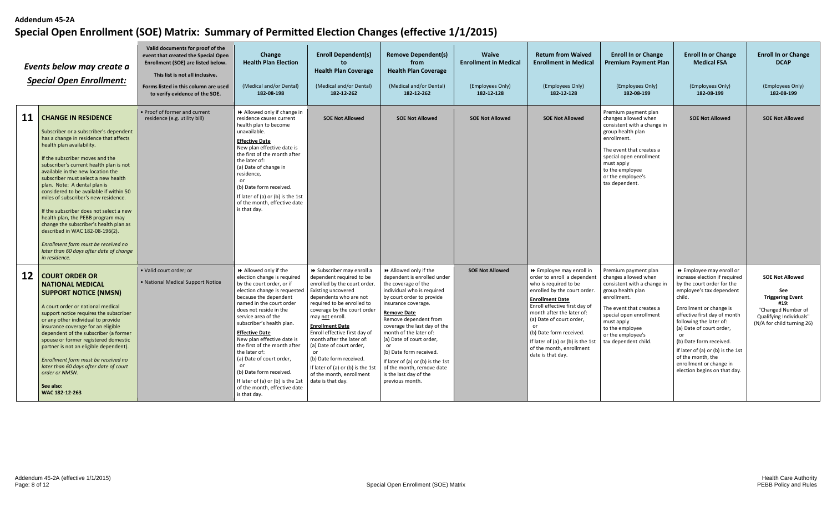|    | Events below may create a<br><b>Special Open Enrollment:</b>                                                                                                                                                                                                                                                                                                                                                                                                                                                                                                                                                                                                                             | Valid documents for proof of the<br>event that created the Special Open<br>Enrollment (SOE) are listed below.<br>This list is not all inclusive.<br>Forms listed in this column are used<br>to verify evidence of the SOE. | Change<br><b>Health Plan Election</b><br>(Medical and/or Dental)<br>182-08-198                                                                                                                                                                                                                                                                                                                                                                                                                               | <b>Enroll Dependent(s)</b><br>to<br><b>Health Plan Coverage</b><br>(Medical and/or Dental)<br>182-12-262                                                                                                                                                                                                                                                                                                                                                    | <b>Remove Dependent(s)</b><br>from<br><b>Health Plan Coverage</b><br>(Medical and/or Dental)<br>182-12-262                                                                                                                                                                                                                                                                                                                                   | Waive<br><b>Enrollment in Medical</b><br>(Employees Only)<br>182-12-128 | <b>Return from Waived</b><br><b>Enrollment in Medical</b><br>(Employees Only)<br>182-12-128                                                                                                                                                                                                                                                           | <b>Enroll In or Change</b><br><b>Premium Payment Plan</b><br>(Employees Only)<br>182-08-199                                                                                                                                                          | <b>Enroll In or Change</b><br><b>Medical FSA</b><br>(Employees Only)<br>182-08-199                                                                                                                                                                                                                                                                                                                    | <b>Enroll In or Change</b><br><b>DCAP</b><br>(Employees Only)<br>182-08-199                                                                            |
|----|------------------------------------------------------------------------------------------------------------------------------------------------------------------------------------------------------------------------------------------------------------------------------------------------------------------------------------------------------------------------------------------------------------------------------------------------------------------------------------------------------------------------------------------------------------------------------------------------------------------------------------------------------------------------------------------|----------------------------------------------------------------------------------------------------------------------------------------------------------------------------------------------------------------------------|--------------------------------------------------------------------------------------------------------------------------------------------------------------------------------------------------------------------------------------------------------------------------------------------------------------------------------------------------------------------------------------------------------------------------------------------------------------------------------------------------------------|-------------------------------------------------------------------------------------------------------------------------------------------------------------------------------------------------------------------------------------------------------------------------------------------------------------------------------------------------------------------------------------------------------------------------------------------------------------|----------------------------------------------------------------------------------------------------------------------------------------------------------------------------------------------------------------------------------------------------------------------------------------------------------------------------------------------------------------------------------------------------------------------------------------------|-------------------------------------------------------------------------|-------------------------------------------------------------------------------------------------------------------------------------------------------------------------------------------------------------------------------------------------------------------------------------------------------------------------------------------------------|------------------------------------------------------------------------------------------------------------------------------------------------------------------------------------------------------------------------------------------------------|-------------------------------------------------------------------------------------------------------------------------------------------------------------------------------------------------------------------------------------------------------------------------------------------------------------------------------------------------------------------------------------------------------|--------------------------------------------------------------------------------------------------------------------------------------------------------|
| 11 | <b>CHANGE IN RESIDENCE</b><br>Subscriber or a subscriber's dependent<br>has a change in residence that affects<br>health plan availability.<br>If the subscriber moves and the<br>subscriber's current health plan is not<br>available in the new location the<br>subscriber must select a new health<br>plan. Note: A dental plan is<br>considered to be available if within 50<br>miles of subscriber's new residence.<br>If the subscriber does not select a new<br>health plan, the PEBB program may<br>change the subscriber's health plan as<br>described in WAC 182-08-196(2).<br>Enrollment form must be received no<br>later than 60 days after date of change<br>in residence. | . Proof of former and current<br>residence (e.g. utility bill)                                                                                                                                                             | Allowed only if change in<br>residence causes current<br>health plan to become<br>unavailable.<br><b>Effective Date</b><br>New plan effective date is<br>the first of the month after<br>the later of:<br>(a) Date of change in<br>residence.<br>or<br>(b) Date form received.<br>If later of (a) or (b) is the 1st<br>of the month, effective date<br>is that day.                                                                                                                                          | <b>SOE Not Allowed</b>                                                                                                                                                                                                                                                                                                                                                                                                                                      | <b>SOE Not Allowed</b>                                                                                                                                                                                                                                                                                                                                                                                                                       | <b>SOE Not Allowed</b>                                                  | <b>SOE Not Allowed</b>                                                                                                                                                                                                                                                                                                                                | Premium payment plan<br>changes allowed when<br>consistent with a change in<br>group health plan<br>enrollment.<br>The event that creates a<br>special open enrollment<br>must apply<br>to the employee<br>or the employee's<br>tax dependent.       | <b>SOE Not Allowed</b>                                                                                                                                                                                                                                                                                                                                                                                | <b>SOE Not Allowed</b>                                                                                                                                 |
| 12 | <b>COURT ORDER OR</b><br><b>NATIONAL MEDICAL</b><br><b>SUPPORT NOTICE (NMSN)</b><br>A court order or national medical<br>support notice requires the subscriber<br>or any other individual to provide<br>insurance coverage for an eligible<br>dependent of the subscriber (a former<br>spouse or former registered domestic<br>partner is not an eligible dependent).<br>Enrollment form must be received no<br>later than 60 days after date of court<br>order or NMSN.<br>See also:<br>WAC 182-12-263                                                                                                                                                                                 | · Valid court order; or<br>. National Medical Support Notice                                                                                                                                                               | Allowed only if the<br>election change is required<br>by the court order, or if<br>election change is requested<br>because the dependent<br>named in the court order<br>does not reside in the<br>service area of the<br>subscriber's health plan.<br><b>Effective Date</b><br>New plan effective date is<br>the first of the month after<br>the later of:<br>(a) Date of court order,<br>or<br>(b) Date form received.<br>If later of (a) or (b) is the 1st<br>of the month, effective date<br>is that day. | >> Subscriber may enroll a<br>dependent required to be<br>enrolled by the court order.<br>Existing uncovered<br>dependents who are not<br>required to be enrolled to<br>coverage by the court order<br>may not enroll.<br><b>Enrollment Date</b><br>Enroll effective first day of<br>month after the later of:<br>(a) Date of court order,<br>(b) Date form received.<br>If later of (a) or (b) is the 1st<br>of the month, enrollment<br>date is that day. | >> Allowed only if the<br>dependent is enrolled under<br>the coverage of the<br>individual who is required<br>by court order to provide<br>insurance coverage.<br>Remove Date<br>Remove dependent from<br>coverage the last day of the<br>month of the later of:<br>(a) Date of court order,<br>or<br>(b) Date form received.<br>If later of (a) or (b) is the 1st<br>of the month, remove date<br>is the last day of the<br>previous month. | <b>SOE Not Allowed</b>                                                  | ▶ Employee may enroll in<br>order to enroll a dependent<br>who is required to be<br>enrolled by the court order.<br><b>Enrollment Date</b><br>Enroll effective first day of<br>month after the later of:<br>(a) Date of court order,<br>(b) Date form received.<br>If later of (a) or (b) is the 1st<br>of the month, enrollment<br>date is that day. | Premium payment plan<br>changes allowed when<br>consistent with a change in<br>group health plan<br>enrollment.<br>The event that creates a<br>special open enrollment<br>must apply<br>to the employee<br>or the employee's<br>tax dependent child. | ▶ Employee may enroll or<br>increase election if required<br>by the court order for the<br>employee's tax dependent<br>child.<br>Enrollment or change is<br>effective first day of month<br>following the later of:<br>(a) Date of court order,<br>or<br>(b) Date form received.<br>If later of (a) or (b) is the 1st<br>of the month, the<br>enrollment or change in<br>election begins on that day. | <b>SOE Not Allowed</b><br><b>See</b><br><b>Triggering Event</b><br>#19:<br>"Changed Number of<br>Qualifying Individuals"<br>(N/A for child turning 26) |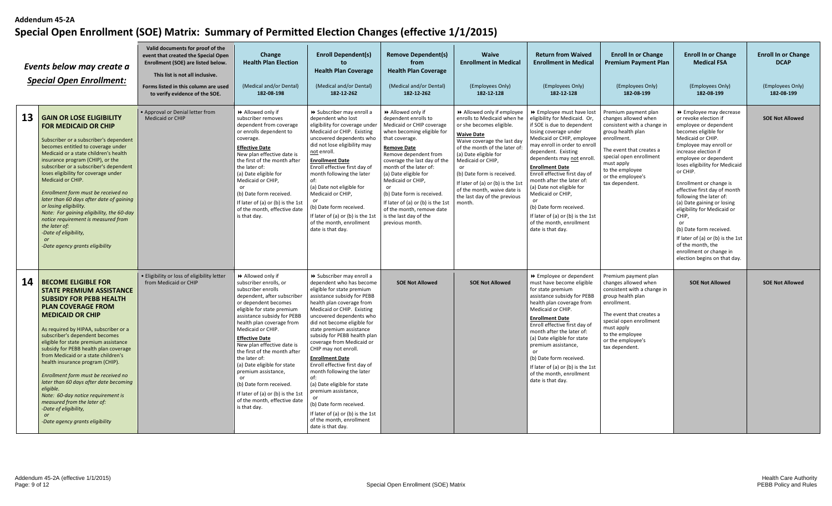|    | Events below may create a<br><b>Special Open Enrollment:</b>                                                                                                                                                                                                                                                                                                                                                                                                                                                                                                                                                                   | Valid documents for proof of the<br>event that created the Special Open<br>Enrollment (SOE) are listed below.<br>This list is not all inclusive.<br>Forms listed in this column are used<br>to verify evidence of the SOE. | Change<br><b>Health Plan Election</b><br>(Medical and/or Dental)<br>182-08-198                                                                                                                                                                                                                                                                                                                                                                                                                                            | <b>Enroll Dependent(s)</b><br>to.<br><b>Health Plan Coverage</b><br>(Medical and/or Dental)<br>182-12-262                                                                                                                                                                                                                                                                                                                                                                                                                                                                                                                        | <b>Remove Dependent(s)</b><br>from<br><b>Health Plan Coverage</b><br>(Medical and/or Dental)<br>182-12-262                                                                                                                                                                                                                                                                                                                     | <b>Waive</b><br><b>Enrollment in Medical</b><br>(Employees Only)<br>182-12-128                                                                                                                                                                                                                                                                                       | <b>Return from Waived</b><br><b>Enrollment in Medical</b><br>(Employees Only)<br>182-12-128                                                                                                                                                                                                                                                                                                                                                                                                       | <b>Enroll In or Change</b><br><b>Premium Payment Plan</b><br>(Employees Only)<br>182-08-199                                                                                                                                                    | <b>Enroll In or Change</b><br><b>Medical FSA</b><br>(Employees Only)<br>182-08-199                                                                                                                                                                                                                                                                                                                                                                                                                                                                                | <b>Enroll In or Change</b><br><b>DCAP</b><br>(Employees Only)<br>182-08-199 |
|----|--------------------------------------------------------------------------------------------------------------------------------------------------------------------------------------------------------------------------------------------------------------------------------------------------------------------------------------------------------------------------------------------------------------------------------------------------------------------------------------------------------------------------------------------------------------------------------------------------------------------------------|----------------------------------------------------------------------------------------------------------------------------------------------------------------------------------------------------------------------------|---------------------------------------------------------------------------------------------------------------------------------------------------------------------------------------------------------------------------------------------------------------------------------------------------------------------------------------------------------------------------------------------------------------------------------------------------------------------------------------------------------------------------|----------------------------------------------------------------------------------------------------------------------------------------------------------------------------------------------------------------------------------------------------------------------------------------------------------------------------------------------------------------------------------------------------------------------------------------------------------------------------------------------------------------------------------------------------------------------------------------------------------------------------------|--------------------------------------------------------------------------------------------------------------------------------------------------------------------------------------------------------------------------------------------------------------------------------------------------------------------------------------------------------------------------------------------------------------------------------|----------------------------------------------------------------------------------------------------------------------------------------------------------------------------------------------------------------------------------------------------------------------------------------------------------------------------------------------------------------------|---------------------------------------------------------------------------------------------------------------------------------------------------------------------------------------------------------------------------------------------------------------------------------------------------------------------------------------------------------------------------------------------------------------------------------------------------------------------------------------------------|------------------------------------------------------------------------------------------------------------------------------------------------------------------------------------------------------------------------------------------------|-------------------------------------------------------------------------------------------------------------------------------------------------------------------------------------------------------------------------------------------------------------------------------------------------------------------------------------------------------------------------------------------------------------------------------------------------------------------------------------------------------------------------------------------------------------------|-----------------------------------------------------------------------------|
| 13 | <b>GAIN OR LOSE ELIGIBILITY</b><br><b>FOR MEDICAID OR CHIP</b><br>Subscriber or a subscriber's dependent<br>becomes entitled to coverage under<br>Medicaid or a state children's health<br>insurance program (CHIP), or the<br>subscriber or a subscriber's dependent<br>loses eligibility for coverage under<br>Medicaid or CHIP.<br>Enrollment form must be received no<br>later than 60 days after date of gaining<br>or losing eligibility.<br>Note: For gaining eligibility, the 60-day<br>notice requirement is measured from<br>the later of:<br>-Date of eligibility,<br><b>or</b><br>-Date agency grants eligibility  | . Approval or Denial letter from<br>Medicaid or CHIP                                                                                                                                                                       | Allowed only if<br>subscriber removes<br>dependent from coverage<br>or enrolls dependent to<br>coverage.<br><b>Effective Date</b><br>New plan effective date is<br>the first of the month after<br>the later of:<br>(a) Date eligible for<br>Medicaid or CHIP,<br>or<br>(b) Date form received.<br>If later of (a) or (b) is the 1st<br>of the month, effective date<br>is that day.                                                                                                                                      | > Subscriber may enroll a<br>dependent who lost<br>eligibility for coverage under<br>Medicaid or CHIP. Existing<br>uncovered dependents who<br>did not lose eligibility may<br>not enroll.<br><b>Enrollment Date</b><br>Enroll effective first day of<br>month following the later<br>of:<br>(a) Date not eligible for<br>Medicaid or CHIP,<br>(b) Date form received.<br>If later of (a) or (b) is the 1st<br>of the month, enrollment<br>date is that day.                                                                                                                                                                     | Allowed only if<br>dependent enrolls to<br>Medicaid or CHIP coverage<br>when becoming eligible for<br>that coverage.<br><b>Remove Date</b><br>Remove dependent from<br>coverage the last day of the<br>month of the later of:<br>(a) Date eligible for<br>Medicaid or CHIP,<br>or<br>(b) Date form is received.<br>If later of (a) or (b) is the 1st<br>of the month, remove date<br>is the last day of the<br>previous month. | >> Allowed only if employee<br>enrolls to Medicaid when he<br>or she becomes eligible.<br><b>Waive Date</b><br>Waive coverage the last day<br>of the month of the later of<br>(a) Date eligible for<br>Medicaid or CHIP,<br>(b) Date form is received.<br>If later of (a) or (b) is the 1st<br>of the month, waive date is<br>the last day of the previous<br>month. | >> Employee must have lost<br>eligibility for Medicaid. Or,<br>if SOE is due to dependent<br>losing coverage under<br>Medicaid or CHIP, employee<br>may enroll in order to enroll<br>dependent. Existing<br>dependents may not enroll.<br><b>Enrollment Date</b><br>Enroll effective first day of<br>month after the later of:<br>(a) Date not eligible for<br>Medicaid or CHIP,<br>(b) Date form received.<br>If later of (a) or (b) is the 1st<br>of the month, enrollment<br>date is that day. | Premium payment plan<br>changes allowed when<br>consistent with a change in<br>group health plan<br>enrollment.<br>The event that creates a<br>special open enrollment<br>must apply<br>to the employee<br>or the employee's<br>tax dependent. | ▶ Employee may decrease<br>or revoke election if<br>employee or dependent<br>becomes eligible for<br>Medicaid or CHIP.<br>Employee may enroll or<br>increase election if<br>employee or dependent<br>loses eligibility for Medicaid<br>or CHIP.<br>Enrollment or change is<br>effective first day of month<br>following the later of:<br>(a) Date gaining or losing<br>eligibility for Medicaid or<br>CHIP,<br>or<br>(b) Date form received.<br>If later of (a) or (b) is the 1st<br>of the month, the<br>enrollment or change in<br>election begins on that day. | <b>SOE Not Allowed</b>                                                      |
| 14 | <b>BECOME ELIGIBLE FOR</b><br><b>STATE PREMIUM ASSISTANCE</b><br><b>SUBSIDY FOR PEBB HEALTH</b><br><b>PLAN COVERAGE FROM</b><br><b>MEDICAID OR CHIP</b><br>As required by HIPAA, subscriber or a<br>subscriber's dependent becomes<br>eligible for state premium assistance<br>subsidy for PEBB health plan coverage<br>from Medicaid or a state children's<br>health insurance program (CHIP).<br>Enrollment form must be received no<br>later than 60 days after date becoming<br>eligible.<br>Note: 60-day notice requirement is<br>measured from the later of:<br>-Date of eligibility,<br>-Date agency grants eligibility | · Eligibility or loss of eligibility letter<br>from Medicaid or CHIP                                                                                                                                                       | Allowed only if<br>subscriber enrolls, or<br>subscriber enrolls<br>dependent, after subscriber<br>or dependent becomes<br>eligible for state premium<br>assistance subsidy for PEBB<br>health plan coverage from<br>Medicaid or CHIP.<br><b>Effective Date</b><br>New plan effective date is<br>the first of the month after<br>the later of:<br>(a) Date eligible for state<br>premium assistance,<br>or<br>(b) Date form received.<br>If later of (a) or (b) is the 1st<br>of the month, effective date<br>is that day. | >> Subscriber may enroll a<br>dependent who has become<br>eligible for state premium<br>assistance subsidy for PEBB<br>health plan coverage from<br>Medicaid or CHIP. Existing<br>uncovered dependents who<br>did not become eligible for<br>state premium assistance<br>subsidy for PEBB health plan<br>coverage from Medicaid or<br>CHIP may not enroll.<br><b>Enrollment Date</b><br>Enroll effective first day of<br>month following the later<br>of:<br>(a) Date eligible for state<br>premium assistance,<br>(b) Date form received.<br>If later of (a) or (b) is the 1st<br>of the month, enrollment<br>date is that day. | <b>SOE Not Allowed</b>                                                                                                                                                                                                                                                                                                                                                                                                         | <b>SOE Not Allowed</b>                                                                                                                                                                                                                                                                                                                                               | ▶ Employee or dependent<br>must have become eligible<br>for state premium<br>assistance subsidy for PEBB<br>health plan coverage from<br>Medicaid or CHIP.<br><b>Enrollment Date</b><br>Enroll effective first day of<br>month after the later of:<br>(a) Date eligible for state<br>premium assistance,<br>(b) Date form received.<br>If later of (a) or (b) is the 1st<br>of the month, enrollment<br>date is that day.                                                                         | Premium payment plan<br>changes allowed when<br>consistent with a change in<br>group health plan<br>enrollment.<br>The event that creates a<br>special open enrollment<br>must apply<br>to the employee<br>or the employee's<br>tax dependent. | <b>SOE Not Allowed</b>                                                                                                                                                                                                                                                                                                                                                                                                                                                                                                                                            | <b>SOE Not Allowed</b>                                                      |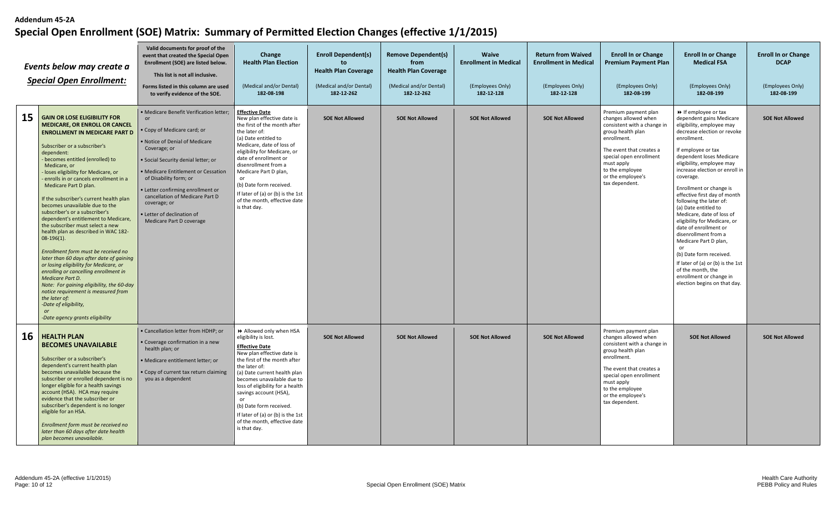|    | Events below may create a<br><b>Special Open Enrollment:</b>                                                                                                                                                                                                                                                                                                                                                                                                                                                                                                                                                                                                                                                                                                                                                                                                                                                                                     | Valid documents for proof of the<br>event that created the Special Open<br>Enrollment (SOE) are listed below.<br>This list is not all inclusive.<br>Forms listed in this column are used<br>to verify evidence of the SOE.                                                                                                                                                                      | Change<br><b>Health Plan Election</b><br>(Medical and/or Dental)<br>182-08-198                                                                                                                                                                                                                                                                                                                             | <b>Enroll Dependent(s)</b><br>to<br><b>Health Plan Coverage</b><br>(Medical and/or Dental)<br>182-12-262 | <b>Remove Dependent(s)</b><br>from<br><b>Health Plan Coverage</b><br>(Medical and/or Dental)<br>182-12-262 | <b>Waive</b><br><b>Enrollment in Medical</b><br>(Employees Only)<br>182-12-128 | <b>Return from Waived</b><br><b>Enrollment in Medical</b><br>(Employees Only)<br>182-12-128 | <b>Enroll In or Change</b><br><b>Premium Payment Plan</b><br>(Employees Only)<br>182-08-199                                                                                                                                                    | <b>Enroll In or Change</b><br><b>Medical FSA</b><br>(Employees Only)<br>182-08-199                                                                                                                                                                                                                                                                                                                                                                                                                                                                                                                                                                                 | <b>Enroll In or Change</b><br><b>DCAP</b><br>(Employees Only)<br>182-08-199 |
|----|--------------------------------------------------------------------------------------------------------------------------------------------------------------------------------------------------------------------------------------------------------------------------------------------------------------------------------------------------------------------------------------------------------------------------------------------------------------------------------------------------------------------------------------------------------------------------------------------------------------------------------------------------------------------------------------------------------------------------------------------------------------------------------------------------------------------------------------------------------------------------------------------------------------------------------------------------|-------------------------------------------------------------------------------------------------------------------------------------------------------------------------------------------------------------------------------------------------------------------------------------------------------------------------------------------------------------------------------------------------|------------------------------------------------------------------------------------------------------------------------------------------------------------------------------------------------------------------------------------------------------------------------------------------------------------------------------------------------------------------------------------------------------------|----------------------------------------------------------------------------------------------------------|------------------------------------------------------------------------------------------------------------|--------------------------------------------------------------------------------|---------------------------------------------------------------------------------------------|------------------------------------------------------------------------------------------------------------------------------------------------------------------------------------------------------------------------------------------------|--------------------------------------------------------------------------------------------------------------------------------------------------------------------------------------------------------------------------------------------------------------------------------------------------------------------------------------------------------------------------------------------------------------------------------------------------------------------------------------------------------------------------------------------------------------------------------------------------------------------------------------------------------------------|-----------------------------------------------------------------------------|
| 15 | <b>GAIN OR LOSE ELIGIBILITY FOR</b><br><b>MEDICARE, OR ENROLL OR CANCEL</b><br><b>ENROLLMENT IN MEDICARE PART D</b><br>Subscriber or a subscriber's<br>dependent:<br>becomes entitled (enrolled) to<br>Medicare, or<br>loses eligibility for Medicare, or<br>enrolls in or cancels enrollment in a<br>Medicare Part D plan.<br>If the subscriber's current health plan<br>becomes unavailable due to the<br>subscriber's or a subscriber's<br>dependent's entitlement to Medicare,<br>the subscriber must select a new<br>health plan as described in WAC 182-<br>$08-196(1)$ .<br>Enrollment form must be received no<br>later than 60 days after date of gaining<br>or losing eligibility for Medicare, or<br>enrolling or cancelling enrollment in<br>Medicare Part D.<br>Note: For gaining eligibility, the 60-day<br>notice requirement is measured from<br>the later of:<br>-Date of eligibility,<br>or<br>-Date agency grants eligibility | · Medicare Benefit Verification letter;<br><b>or</b><br>• Copy of Medicare card; or<br>. Notice of Denial of Medicare<br>Coverage; or<br>· Social Security denial letter; or<br>• Medicare Entitlement or Cessation<br>of Disability form; or<br>• Letter confirming enrollment or<br>cancellation of Medicare Part D<br>coverage; or<br>· Letter of declination of<br>Medicare Part D coverage | <b>Effective Date</b><br>New plan effective date is<br>the first of the month after<br>the later of:<br>(a) Date entitled to<br>Medicare, date of loss of<br>eligibility for Medicare, or<br>date of enrollment or<br>disenrollment from a<br>Medicare Part D plan,<br>or<br>(b) Date form received.<br>If later of (a) or (b) is the 1st<br>of the month, effective date<br>is that day.                  | <b>SOE Not Allowed</b>                                                                                   | <b>SOE Not Allowed</b>                                                                                     | <b>SOE Not Allowed</b>                                                         | <b>SOE Not Allowed</b>                                                                      | Premium payment plan<br>changes allowed when<br>consistent with a change in<br>group health plan<br>enrollment.<br>The event that creates a<br>special open enrollment<br>must apply<br>to the employee<br>or the employee's<br>tax dependent. | If employee or tax<br>dependent gains Medicare<br>eligibility, employee may<br>decrease election or revoke<br>enrollment.<br>If employee or tax<br>dependent loses Medicare<br>eligibility, employee may<br>increase election or enroll in<br>coverage.<br>Enrollment or change is<br>effective first day of month<br>following the later of:<br>(a) Date entitled to<br>Medicare, date of loss of<br>eligibility for Medicare, or<br>date of enrollment or<br>disenrollment from a<br>Medicare Part D plan,<br>or<br>(b) Date form received.<br>If later of (a) or (b) is the 1st<br>of the month, the<br>enrollment or change in<br>election begins on that day. | <b>SOE Not Allowed</b>                                                      |
| 16 | <b>HEALTH PLAN</b><br><b>BECOMES UNAVAILABLE</b><br>Subscriber or a subscriber's<br>dependent's current health plan<br>becomes unavailable because the<br>subscriber or enrolled dependent is no<br>longer eligible for a health savings<br>account (HSA). HCA may require<br>evidence that the subscriber or<br>subscriber's dependent is no longer<br>eligible for an HSA.<br>Enrollment form must be received no<br>later than 60 days after date health<br>plan becomes unavailable.                                                                                                                                                                                                                                                                                                                                                                                                                                                         | • Cancellation letter from HDHP; or<br>· Coverage confirmation in a new<br>health plan; or<br>· Medicare entitlement letter; or<br>• Copy of current tax return claiming<br>you as a dependent                                                                                                                                                                                                  | >> Allowed only when HSA<br>eligibility is lost.<br><b>Effective Date</b><br>New plan effective date is<br>the first of the month after<br>the later of:<br>(a) Date current health plan<br>becomes unavailable due to<br>loss of eligibility for a health<br>savings account (HSA),<br>or<br>(b) Date form received.<br>If later of (a) or (b) is the 1st<br>of the month, effective date<br>is that day. | <b>SOE Not Allowed</b>                                                                                   | <b>SOE Not Allowed</b>                                                                                     | <b>SOE Not Allowed</b>                                                         | <b>SOE Not Allowed</b>                                                                      | Premium payment plan<br>changes allowed when<br>consistent with a change in<br>group health plan<br>enrollment.<br>The event that creates a<br>special open enrollment<br>must apply<br>to the employee<br>or the employee's<br>tax dependent. | <b>SOE Not Allowed</b>                                                                                                                                                                                                                                                                                                                                                                                                                                                                                                                                                                                                                                             | <b>SOE Not Allowed</b>                                                      |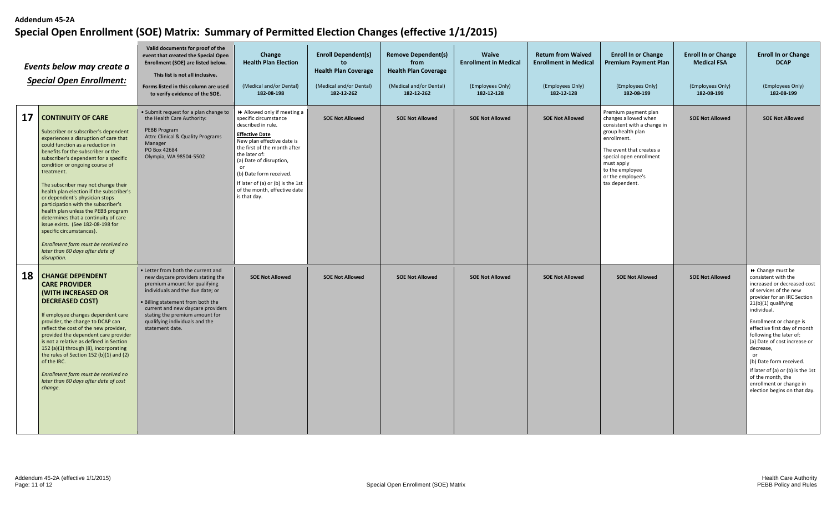|    | Events below may create a<br><b>Special Open Enrollment:</b>                                                                                                                                                                                                                                                                                                                                                                                                                                                                                                                                                                                                                        | Valid documents for proof of the<br>event that created the Special Open<br>Enrollment (SOE) are listed below.<br>This list is not all inclusive.<br>Forms listed in this column are used<br>to verify evidence of the SOE.                                                                                    | Change<br><b>Health Plan Election</b><br>(Medical and/or Dental)<br>182-08-198                                                                                                                                                                                                                                                    | <b>Enroll Dependent(s)</b><br>to<br><b>Health Plan Coverage</b><br>(Medical and/or Dental)<br>182-12-262 | <b>Remove Dependent(s)</b><br>from<br><b>Health Plan Coverage</b><br>(Medical and/or Dental)<br>182-12-262 | <b>Waive</b><br><b>Enrollment in Medical</b><br>(Employees Only)<br>182-12-128 | <b>Return from Waived</b><br><b>Enrollment in Medical</b><br>(Employees Only)<br>182-12-128 | <b>Enroll In or Change</b><br><b>Premium Payment Plan</b><br>(Employees Only)<br>182-08-199                                                                                                                                                    | <b>Enroll In or Change</b><br><b>Medical FSA</b><br>(Employees Only)<br>182-08-199 | <b>Enroll In or Change</b><br><b>DCAP</b><br>(Employees Only)<br>182-08-199                                                                                                                                                                                                                                                                                                                                                                                    |
|----|-------------------------------------------------------------------------------------------------------------------------------------------------------------------------------------------------------------------------------------------------------------------------------------------------------------------------------------------------------------------------------------------------------------------------------------------------------------------------------------------------------------------------------------------------------------------------------------------------------------------------------------------------------------------------------------|---------------------------------------------------------------------------------------------------------------------------------------------------------------------------------------------------------------------------------------------------------------------------------------------------------------|-----------------------------------------------------------------------------------------------------------------------------------------------------------------------------------------------------------------------------------------------------------------------------------------------------------------------------------|----------------------------------------------------------------------------------------------------------|------------------------------------------------------------------------------------------------------------|--------------------------------------------------------------------------------|---------------------------------------------------------------------------------------------|------------------------------------------------------------------------------------------------------------------------------------------------------------------------------------------------------------------------------------------------|------------------------------------------------------------------------------------|----------------------------------------------------------------------------------------------------------------------------------------------------------------------------------------------------------------------------------------------------------------------------------------------------------------------------------------------------------------------------------------------------------------------------------------------------------------|
| 17 | <b>CONTINUITY OF CARE</b><br>Subscriber or subscriber's dependent<br>experiences a disruption of care that<br>could function as a reduction in<br>benefits for the subscriber or the<br>subscriber's dependent for a specific<br>condition or ongoing course of<br>treatment.<br>The subscriber may not change their<br>health plan election if the subscriber's<br>or dependent's physician stops<br>participation with the subscriber's<br>health plan unless the PEBB program<br>determines that a continuity of care<br>issue exists. (See 182-08-198 for<br>specific circumstances).<br>Enrollment form must be received no<br>later than 60 days after date of<br>disruption. | • Submit request for a plan change to<br>the Health Care Authority:<br>PEBB Program<br>Attn: Clinical & Quality Programs<br>Manager<br>PO Box 42684<br>Olympia, WA 98504-5502                                                                                                                                 | Allowed only if meeting a<br>specific circumstance<br>described in rule.<br><b>Effective Date</b><br>New plan effective date is<br>the first of the month after<br>the later of:<br>(a) Date of disruption,<br>or<br>(b) Date form received.<br>If later of (a) or (b) is the 1st<br>of the month, effective date<br>is that day. | <b>SOE Not Allowed</b>                                                                                   | <b>SOE Not Allowed</b>                                                                                     | <b>SOE Not Allowed</b>                                                         | <b>SOE Not Allowed</b>                                                                      | Premium payment plan<br>changes allowed when<br>consistent with a change in<br>group health plan<br>enrollment.<br>The event that creates a<br>special open enrollment<br>must apply<br>to the employee<br>or the employee's<br>tax dependent. | <b>SOE Not Allowed</b>                                                             | <b>SOE Not Allowed</b>                                                                                                                                                                                                                                                                                                                                                                                                                                         |
| 18 | <b>CHANGE DEPENDENT</b><br><b>CARE PROVIDER</b><br><b>(WITH INCREASED OR</b><br><b>DECREASED COST)</b><br>If employee changes dependent care<br>provider, the change to DCAP can<br>reflect the cost of the new provider,<br>provided the dependent care provider<br>is not a relative as defined in Section<br>152 (a)(1) through (8), incorporating<br>the rules of Section 152 (b)(1) and (2)<br>of the IRC.<br>Enrollment form must be received no<br>later than 60 days after date of cost<br>change.                                                                                                                                                                          | • Letter from both the current and<br>new daycare providers stating the<br>premium amount for qualifying<br>individuals and the due date; or<br>· Billing statement from both the<br>current and new daycare providers<br>stating the premium amount for<br>qualifying individuals and the<br>statement date. | <b>SOE Not Allowed</b>                                                                                                                                                                                                                                                                                                            | <b>SOE Not Allowed</b>                                                                                   | <b>SOE Not Allowed</b>                                                                                     | <b>SOE Not Allowed</b>                                                         | <b>SOE Not Allowed</b>                                                                      | <b>SOE Not Allowed</b>                                                                                                                                                                                                                         | <b>SOE Not Allowed</b>                                                             | ▶ Change must be<br>consistent with the<br>increased or decreased cost<br>of services of the new<br>provider for an IRC Section<br>21(b)(1) qualifying<br>individual.<br>Enrollment or change is<br>effective first day of month<br>following the later of:<br>(a) Date of cost increase or<br>decrease,<br>or<br>(b) Date form received.<br>If later of (a) or (b) is the 1st<br>of the month, the<br>enrollment or change in<br>election begins on that day. |